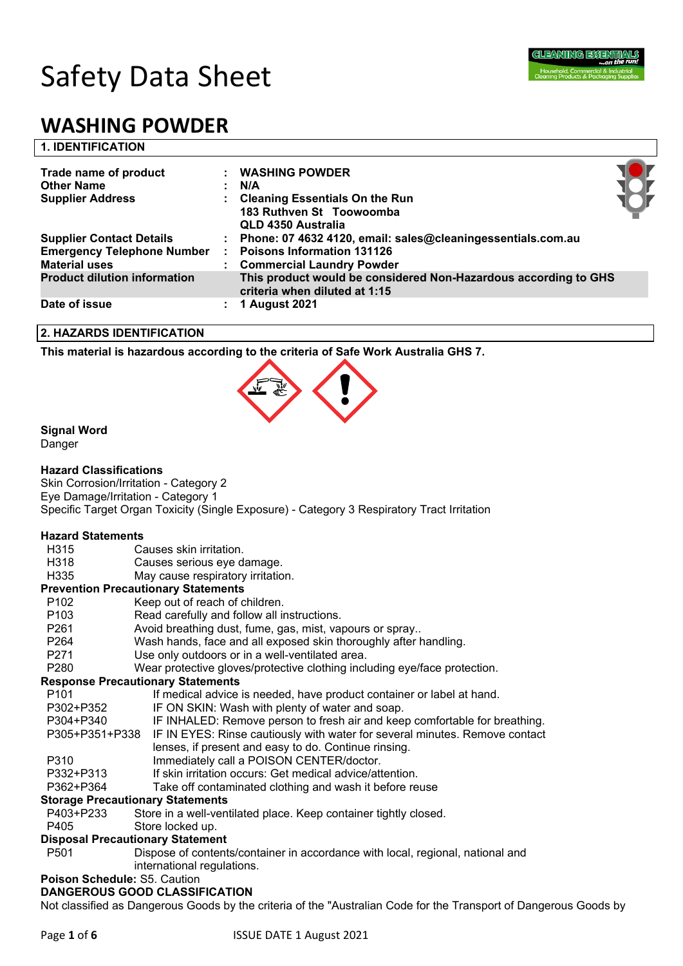

#### **1. IDENTIFICATION**

| Trade name of product<br><b>Other Name</b>                                                   | <b>WASHING POWDER</b><br>N/A                                                                                                      |  |
|----------------------------------------------------------------------------------------------|-----------------------------------------------------------------------------------------------------------------------------------|--|
| <b>Supplier Address</b>                                                                      | <b>Cleaning Essentials On the Run</b><br>183 Ruthven St Toowoomba<br>QLD 4350 Australia                                           |  |
| <b>Supplier Contact Details</b><br><b>Emergency Telephone Number</b><br><b>Material uses</b> | : Phone: 07 4632 4120, email: sales@cleaningessentials.com.au<br><b>Poisons Information 131126</b><br>: Commercial Laundry Powder |  |
| <b>Product dilution information</b>                                                          | This product would be considered Non-Hazardous according to GHS<br>criteria when diluted at 1:15                                  |  |
| Date of issue                                                                                | <b>1 August 2021</b>                                                                                                              |  |

#### **2. HAZARDS IDENTIFICATION**

**This material is hazardous according to the criteria of Safe Work Australia GHS 7.**



### **Signal Word**

Danger

#### **Hazard Classifications**

Skin Corrosion/Irritation - Category 2 Eye Damage/Irritation - Category 1 Specific Target Organ Toxicity (Single Exposure) - Category 3 Respiratory Tract Irritation

#### **Hazard Statements**

- H315 Causes skin irritation.
- H318 Causes serious eye damage.
- H335 May cause respiratory irritation.

#### **Prevention Precautionary Statements**

- P102 Keep out of reach of children.
- P103 Read carefully and follow all instructions.
- P261 Avoid breathing dust, fume, gas, mist, vapours or spray..
- P264 Wash hands, face and all exposed skin thoroughly after handling.
- P271 Use only outdoors or in a well-ventilated area.
- P280 Wear protective gloves/protective clothing including eye/face protection.

#### **Response Precautionary Statements**

| P <sub>101</sub> | If medical advice is needed, have product container or label at hand.                      |
|------------------|--------------------------------------------------------------------------------------------|
| P302+P352        | IF ON SKIN: Wash with plenty of water and soap.                                            |
| P304+P340        | IF INHALED: Remove person to fresh air and keep comfortable for breathing.                 |
|                  | P305+P351+P338 IF IN EYES: Rinse cautiously with water for several minutes. Remove contact |
|                  | lenses, if present and easy to do. Continue rinsing.                                       |
| P310             | Immediately call a POISON CENTER/doctor.                                                   |
| P332+P313        | If skin irritation occurs: Get medical advice/attention.                                   |

P362+P364 Take off contaminated clothing and wash it before reuse

### **Storage Precautionary Statements**

P403+P233 Store in a well-ventilated place. Keep container tightly closed.

# P405 Store locked up.

# **Disposal Precautionary Statement**

P501 Dispose of contents/container in accordance with local, regional, national and international regulations.

## **Poison Schedule:** S5. Caution

### **DANGEROUS GOOD CLASSIFICATION**

Not classified as Dangerous Goods by the criteria of the "Australian Code for the Transport of Dangerous Goods by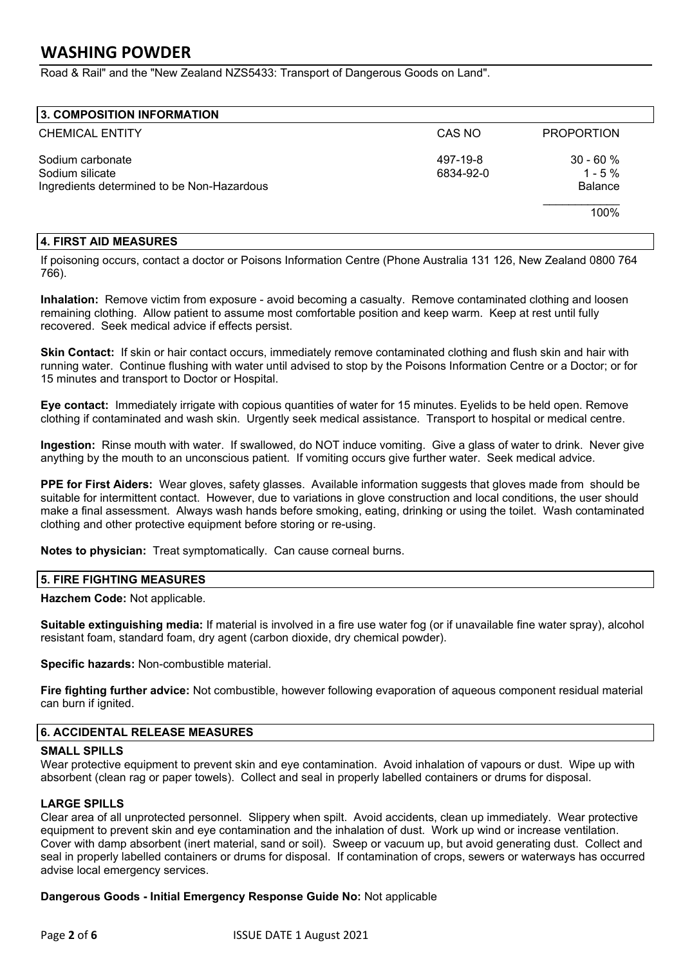Road & Rail" and the "New Zealand NZS5433: Transport of Dangerous Goods on Land".

| 3. COMPOSITION INFORMATION                 |           |                   |
|--------------------------------------------|-----------|-------------------|
| <b>CHEMICAL ENTITY</b>                     | CAS NO    | <b>PROPORTION</b> |
| Sodium carbonate                           | 497-19-8  | $30 - 60%$        |
| Sodium silicate                            | 6834-92-0 | $1 - 5%$          |
| Ingredients determined to be Non-Hazardous |           | <b>Balance</b>    |
|                                            |           | 100%              |
|                                            |           |                   |

#### **4. FIRST AID MEASURES**

If poisoning occurs, contact a doctor or Poisons Information Centre (Phone Australia 131 126, New Zealand 0800 764 766).

**Inhalation:** Remove victim from exposure - avoid becoming a casualty. Remove contaminated clothing and loosen remaining clothing. Allow patient to assume most comfortable position and keep warm. Keep at rest until fully recovered. Seek medical advice if effects persist.

**Skin Contact:** If skin or hair contact occurs, immediately remove contaminated clothing and flush skin and hair with running water. Continue flushing with water until advised to stop by the Poisons Information Centre or a Doctor; or for 15 minutes and transport to Doctor or Hospital.

**Eye contact:** Immediately irrigate with copious quantities of water for 15 minutes. Eyelids to be held open. Remove clothing if contaminated and wash skin. Urgently seek medical assistance. Transport to hospital or medical centre.

**Ingestion:** Rinse mouth with water. If swallowed, do NOT induce vomiting. Give a glass of water to drink. Never give anything by the mouth to an unconscious patient. If vomiting occurs give further water. Seek medical advice.

**PPE for First Aiders:** Wear gloves, safety glasses. Available information suggests that gloves made from should be suitable for intermittent contact. However, due to variations in glove construction and local conditions, the user should make a final assessment. Always wash hands before smoking, eating, drinking or using the toilet. Wash contaminated clothing and other protective equipment before storing or re-using.

**Notes to physician:** Treat symptomatically. Can cause corneal burns.

#### **5. FIRE FIGHTING MEASURES**

**Hazchem Code:** Not applicable.

**Suitable extinguishing media:** If material is involved in a fire use water fog (or if unavailable fine water spray), alcohol resistant foam, standard foam, dry agent (carbon dioxide, dry chemical powder).

**Specific hazards:** Non-combustible material.

**Fire fighting further advice:** Not combustible, however following evaporation of aqueous component residual material can burn if ignited.

#### **6. ACCIDENTAL RELEASE MEASURES**

#### **SMALL SPILLS**

Wear protective equipment to prevent skin and eye contamination. Avoid inhalation of vapours or dust. Wipe up with absorbent (clean rag or paper towels). Collect and seal in properly labelled containers or drums for disposal.

#### **LARGE SPILLS**

Clear area of all unprotected personnel. Slippery when spilt. Avoid accidents, clean up immediately. Wear protective equipment to prevent skin and eye contamination and the inhalation of dust. Work up wind or increase ventilation. Cover with damp absorbent (inert material, sand or soil). Sweep or vacuum up, but avoid generating dust. Collect and seal in properly labelled containers or drums for disposal. If contamination of crops, sewers or waterways has occurred advise local emergency services.

#### **Dangerous Goods - Initial Emergency Response Guide No:** Not applicable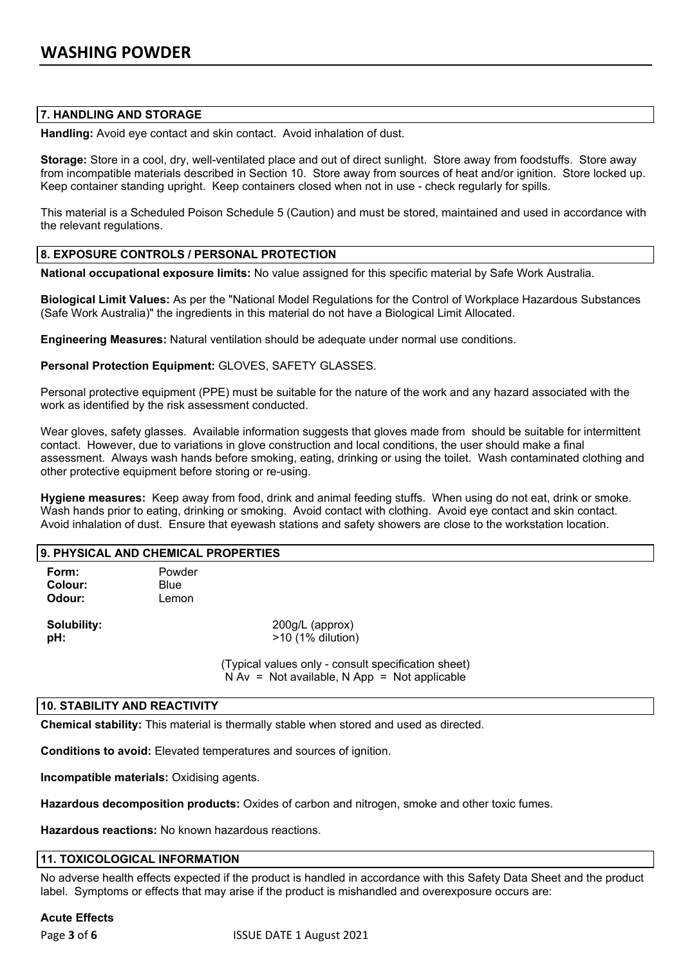#### **7. HANDLING AND STORAGE**

**Handling:** Avoid eye contact and skin contact. Avoid inhalation of dust.

**Storage:** Store in a cool, dry, well-ventilated place and out of direct sunlight. Store away from foodstuffs. Store away from incompatible materials described in Section 10. Store away from sources of heat and/or ignition. Store locked up. Keep container standing upright. Keep containers closed when not in use - check regularly for spills.

This material is a Scheduled Poison Schedule 5 (Caution) and must be stored, maintained and used in accordance with the relevant regulations.

#### **8. EXPOSURE CONTROLS / PERSONAL PROTECTION**

**National occupational exposure limits:** No value assigned for this specific material by Safe Work Australia.

**Biological Limit Values:** As per the "National Model Regulations for the Control of Workplace Hazardous Substances (Safe Work Australia)" the ingredients in this material do not have a Biological Limit Allocated.

**Engineering Measures:** Natural ventilation should be adequate under normal use conditions.

#### **Personal Protection Equipment:** GLOVES, SAFETY GLASSES.

Personal protective equipment (PPE) must be suitable for the nature of the work and any hazard associated with the work as identified by the risk assessment conducted.

Wear gloves, safety glasses. Available information suggests that gloves made from should be suitable for intermittent contact. However, due to variations in glove construction and local conditions, the user should make a final assessment. Always wash hands before smoking, eating, drinking or using the toilet. Wash contaminated clothing and other protective equipment before storing or re-using.

**Hygiene measures:** Keep away from food, drink and animal feeding stuffs. When using do not eat, drink or smoke. Wash hands prior to eating, drinking or smoking. Avoid contact with clothing. Avoid eye contact and skin contact. Avoid inhalation of dust. Ensure that eyewash stations and safety showers are close to the workstation location.

| <b>9. PHYSICAL AND CHEMICAL PROPERTIES</b> |                                |                                                     |  |  |
|--------------------------------------------|--------------------------------|-----------------------------------------------------|--|--|
| Form:<br>Colour:<br>Odour:                 | Powder<br><b>Blue</b><br>Lemon |                                                     |  |  |
| Solubility:<br>pH:                         |                                | 200g/L (approx)<br>$>10$ (1% dilution)              |  |  |
|                                            |                                | (Typical values only - consult specification sheet) |  |  |

 $N Av = Not available, N App = Not applicable$ 

#### **10. STABILITY AND REACTIVITY**

**Chemical stability:** This material is thermally stable when stored and used as directed.

**Conditions to avoid:** Elevated temperatures and sources of ignition.

**Incompatible materials:** Oxidising agents.

**Hazardous decomposition products:** Oxides of carbon and nitrogen, smoke and other toxic fumes.

**Hazardous reactions:** No known hazardous reactions.

#### **11. TOXICOLOGICAL INFORMATION**

No adverse health effects expected if the product is handled in accordance with this Safety Data Sheet and the product label. Symptoms or effects that may arise if the product is mishandled and overexposure occurs are:

#### **Acute Effects**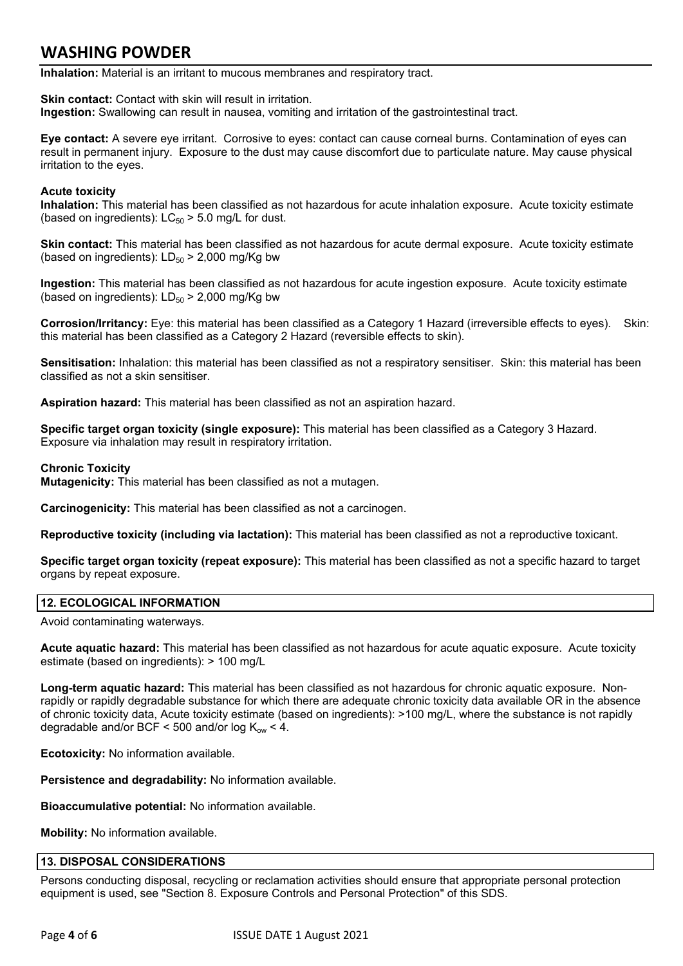**Inhalation:** Material is an irritant to mucous membranes and respiratory tract.

**Skin contact:** Contact with skin will result in irritation. **Ingestion:** Swallowing can result in nausea, vomiting and irritation of the gastrointestinal tract.

**Eye contact:** A severe eye irritant. Corrosive to eyes: contact can cause corneal burns. Contamination of eyes can result in permanent injury. Exposure to the dust may cause discomfort due to particulate nature. May cause physical irritation to the eyes.

#### **Acute toxicity**

**Inhalation:** This material has been classified as not hazardous for acute inhalation exposure. Acute toxicity estimate (based on ingredients):  $LC_{50}$  > 5.0 mg/L for dust.

**Skin contact:** This material has been classified as not hazardous for acute dermal exposure. Acute toxicity estimate (based on ingredients):  $LD_{50}$  > 2,000 mg/Kg bw

**Ingestion:** This material has been classified as not hazardous for acute ingestion exposure. Acute toxicity estimate (based on ingredients):  $LD_{50}$  > 2,000 mg/Kg bw

**Corrosion/Irritancy:** Eye: this material has been classified as a Category 1 Hazard (irreversible effects to eyes). Skin: this material has been classified as a Category 2 Hazard (reversible effects to skin).

**Sensitisation:** Inhalation: this material has been classified as not a respiratory sensitiser. Skin: this material has been classified as not a skin sensitiser.

**Aspiration hazard:** This material has been classified as not an aspiration hazard.

**Specific target organ toxicity (single exposure):** This material has been classified as a Category 3 Hazard. Exposure via inhalation may result in respiratory irritation.

#### **Chronic Toxicity**

**Mutagenicity:** This material has been classified as not a mutagen.

**Carcinogenicity:** This material has been classified as not a carcinogen.

**Reproductive toxicity (including via lactation):** This material has been classified as not a reproductive toxicant.

**Specific target organ toxicity (repeat exposure):** This material has been classified as not a specific hazard to target organs by repeat exposure.

#### **12. ECOLOGICAL INFORMATION**

Avoid contaminating waterways.

**Acute aquatic hazard:** This material has been classified as not hazardous for acute aquatic exposure. Acute toxicity estimate (based on ingredients): > 100 mg/L

**Long-term aquatic hazard:** This material has been classified as not hazardous for chronic aquatic exposure. Nonrapidly or rapidly degradable substance for which there are adequate chronic toxicity data available OR in the absence of chronic toxicity data, Acute toxicity estimate (based on ingredients): >100 mg/L, where the substance is not rapidly degradable and/or BCF < 500 and/or log  $K_{ow}$  < 4.

**Ecotoxicity:** No information available.

**Persistence and degradability:** No information available.

**Bioaccumulative potential:** No information available.

**Mobility:** No information available.

#### **13. DISPOSAL CONSIDERATIONS**

Persons conducting disposal, recycling or reclamation activities should ensure that appropriate personal protection equipment is used, see "Section 8. Exposure Controls and Personal Protection" of this SDS.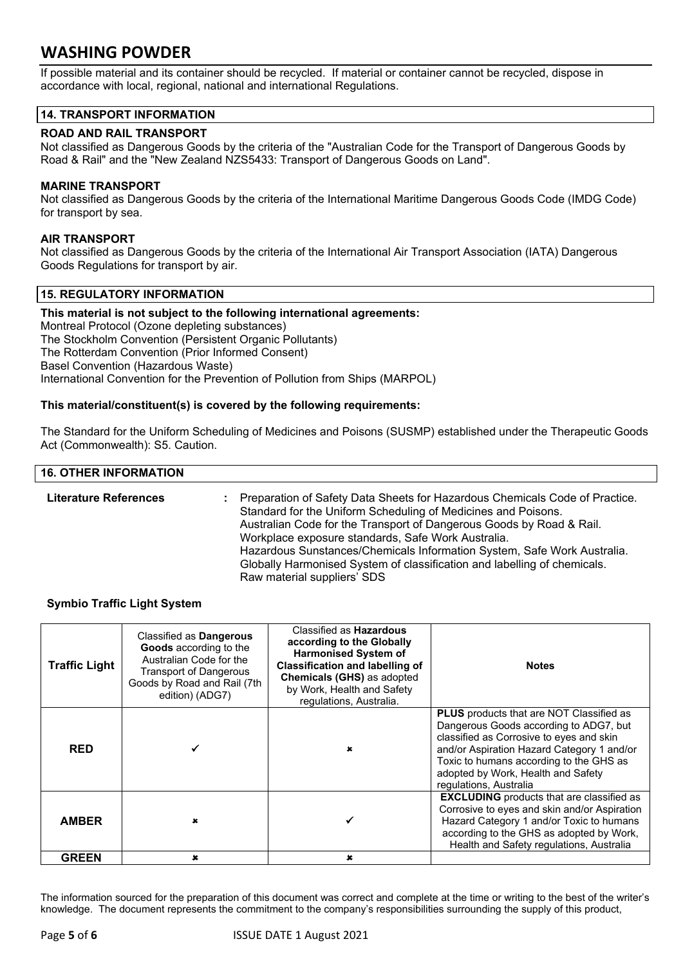If possible material and its container should be recycled. If material or container cannot be recycled, dispose in accordance with local, regional, national and international Regulations.

#### **14. TRANSPORT INFORMATION**

#### **ROAD AND RAIL TRANSPORT**

Not classified as Dangerous Goods by the criteria of the "Australian Code for the Transport of Dangerous Goods by Road & Rail" and the "New Zealand NZS5433: Transport of Dangerous Goods on Land".

#### **MARINE TRANSPORT**

Not classified as Dangerous Goods by the criteria of the International Maritime Dangerous Goods Code (IMDG Code) for transport by sea.

#### **AIR TRANSPORT**

Not classified as Dangerous Goods by the criteria of the International Air Transport Association (IATA) Dangerous Goods Regulations for transport by air.

#### **15. REGULATORY INFORMATION**

**This material is not subject to the following international agreements:** Montreal Protocol (Ozone depleting substances) The Stockholm Convention (Persistent Organic Pollutants) The Rotterdam Convention (Prior Informed Consent) Basel Convention (Hazardous Waste) International Convention for the Prevention of Pollution from Ships (MARPOL)

#### **This material/constituent(s) is covered by the following requirements:**

The Standard for the Uniform Scheduling of Medicines and Poisons (SUSMP) established under the Therapeutic Goods Act (Commonwealth): S5. Caution.

#### **16. OTHER INFORMATION Literature References :** Preparation of Safety Data Sheets for Hazardous Chemicals Code of Practice. Standard for the Uniform Scheduling of Medicines and Poisons. Australian Code for the Transport of Dangerous Goods by Road & Rail. Workplace exposure standards, Safe Work Australia. Hazardous Sunstances/Chemicals Information System, Safe Work Australia. Globally Harmonised System of classification and labelling of chemicals. Raw material suppliers' SDS

#### **Symbio Traffic Light System**

| <b>Traffic Light</b> | Classified as Dangerous<br>Goods according to the<br>Australian Code for the<br><b>Transport of Dangerous</b><br>Goods by Road and Rail (7th<br>edition) (ADG7) | Classified as <b>Hazardous</b><br>according to the Globally<br><b>Harmonised System of</b><br><b>Classification and labelling of</b><br><b>Chemicals (GHS) as adopted</b><br>by Work, Health and Safety<br>regulations, Australia. | <b>Notes</b>                                                                                                                                                                                                                                                                                   |
|----------------------|-----------------------------------------------------------------------------------------------------------------------------------------------------------------|------------------------------------------------------------------------------------------------------------------------------------------------------------------------------------------------------------------------------------|------------------------------------------------------------------------------------------------------------------------------------------------------------------------------------------------------------------------------------------------------------------------------------------------|
| <b>RED</b>           |                                                                                                                                                                 |                                                                                                                                                                                                                                    | <b>PLUS</b> products that are NOT Classified as<br>Dangerous Goods according to ADG7, but<br>classified as Corrosive to eyes and skin<br>and/or Aspiration Hazard Category 1 and/or<br>Toxic to humans according to the GHS as<br>adopted by Work, Health and Safety<br>regulations, Australia |
| <b>AMBER</b>         |                                                                                                                                                                 |                                                                                                                                                                                                                                    | <b>EXCLUDING</b> products that are classified as<br>Corrosive to eyes and skin and/or Aspiration<br>Hazard Category 1 and/or Toxic to humans<br>according to the GHS as adopted by Work,<br>Health and Safety regulations, Australia                                                           |
| <b>GREEN</b>         | $\mathbf x$                                                                                                                                                     | $\mathbf x$                                                                                                                                                                                                                        |                                                                                                                                                                                                                                                                                                |

The information sourced for the preparation of this document was correct and complete at the time or writing to the best of the writer's knowledge. The document represents the commitment to the company's responsibilities surrounding the supply of this product,